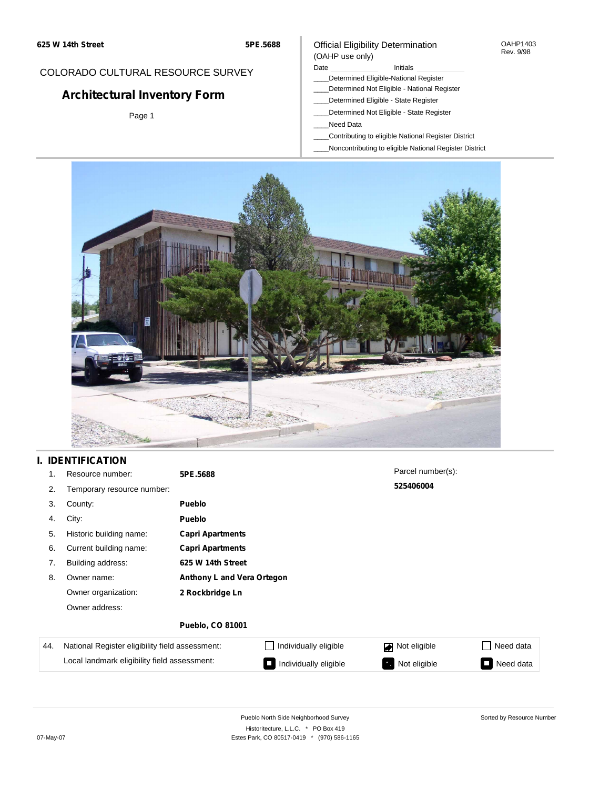# COLORADO CULTURAL RESOURCE SURVEY

# **Architectural Inventory Form**

Page 1

#### Official Eligibility Determination (OAHP use only)

#### Date **Initials** Initials

- \_\_\_\_Determined Eligible-National Register
- \_\_\_\_Determined Not Eligible National Register
- \_\_\_\_Determined Eligible State Register
- \_\_\_\_Determined Not Eligible State Register
- \_\_\_\_Need Data
- \_\_\_\_Contributing to eligible National Register District
- \_\_\_\_Noncontributing to eligible National Register District



### **I. IDENTIFICATION**

| 1.  | Resource number:                                | 5PE.5688                   |                                 | Parcel number(s):   |                                       |  |  |  |
|-----|-------------------------------------------------|----------------------------|---------------------------------|---------------------|---------------------------------------|--|--|--|
| 2.  | Temporary resource number:                      |                            |                                 | 525406004           |                                       |  |  |  |
| 3.  | County:                                         | <b>Pueblo</b>              |                                 |                     |                                       |  |  |  |
| 4.  | City:                                           | <b>Pueblo</b>              |                                 |                     |                                       |  |  |  |
| 5.  | Historic building name:                         | <b>Capri Apartments</b>    |                                 |                     |                                       |  |  |  |
| 6.  | Current building name:                          | <b>Capri Apartments</b>    |                                 |                     |                                       |  |  |  |
| 7.  | Building address:                               | 625 W 14th Street          |                                 |                     |                                       |  |  |  |
| 8.  | Owner name:                                     | Anthony L and Vera Ortegon |                                 |                     |                                       |  |  |  |
|     | Owner organization:                             | 2 Rockbridge Ln            |                                 |                     |                                       |  |  |  |
|     | Owner address:                                  |                            |                                 |                     |                                       |  |  |  |
|     |                                                 | <b>Pueblo, CO 81001</b>    |                                 |                     |                                       |  |  |  |
| 44. | National Register eligibility field assessment: |                            | Individually eligible           | Not eligible<br>丙   | Need data                             |  |  |  |
|     | Local landmark eligibility field assessment:    |                            | Individually eligible<br>$\Box$ | Not eligible<br>-70 | Need data<br>$\overline{\phantom{a}}$ |  |  |  |

Sorted by Resource Number

OAHP1403 Rev. 9/98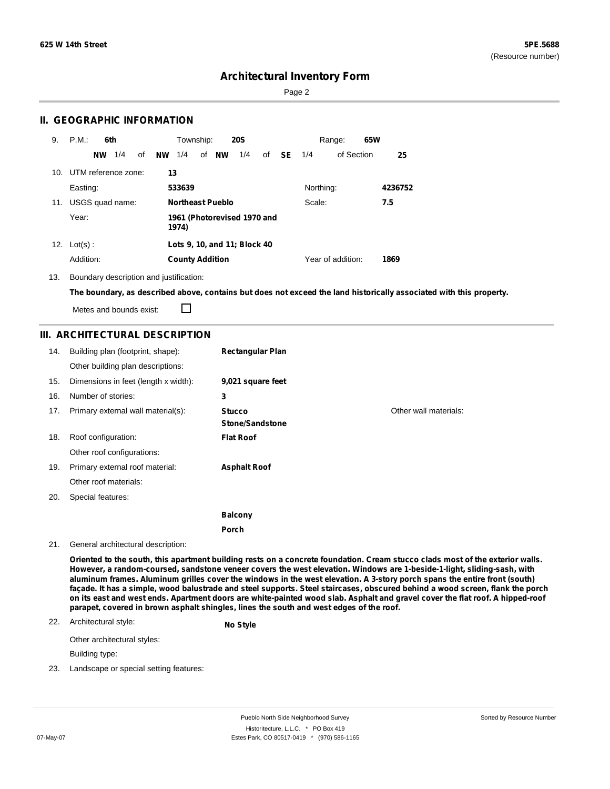Page 2

### **II. GEOGRAPHIC INFORMATION**

| 9.  | P.M.<br>6th             | Township:<br><b>20S</b>                                       | 65W<br>Range:     |         |
|-----|-------------------------|---------------------------------------------------------------|-------------------|---------|
|     | 1/4<br>οf<br><b>NW</b>  | <b>NW</b><br><b>NW</b><br>1/4<br>of<br>1/4<br><b>SE</b><br>οf | of Section<br>1/4 | 25      |
|     | 10. UTM reference zone: | 13                                                            |                   |         |
|     | Easting:                | 533639                                                        | Northing:         | 4236752 |
| 11. | USGS quad name:         | <b>Northeast Pueblo</b>                                       | Scale:            | 7.5     |
|     | Year:                   | 1961 (Photorevised 1970 and<br>1974)                          |                   |         |
| 12. | $Lot(s)$ :              | Lots 9, 10, and 11; Block 40                                  |                   |         |
|     | Addition:               | <b>County Addition</b>                                        | Year of addition: | 1869    |

13. Boundary description and justification:

The boundary, as described above, contains but does not exceed the land historically associated with this property.

Metes and bounds exist:

 $\Box$ 

## **III. ARCHITECTURAL DESCRIPTION**

| 14. | Building plan (footprint, shape):<br>Other building plan descriptions: | <b>Rectangular Plan</b>                 |                       |
|-----|------------------------------------------------------------------------|-----------------------------------------|-----------------------|
| 15. | Dimensions in feet (length x width):                                   | 9,021 square feet                       |                       |
| 16. | Number of stories:                                                     | 3                                       |                       |
| 17. | Primary external wall material(s):                                     | <b>Stucco</b><br><b>Stone/Sandstone</b> | Other wall materials: |
| 18. | Roof configuration:                                                    | <b>Flat Roof</b>                        |                       |
|     | Other roof configurations:                                             |                                         |                       |
| 19. | Primary external roof material:                                        | <b>Asphalt Roof</b>                     |                       |
|     | Other roof materials:                                                  |                                         |                       |
| 20. | Special features:                                                      |                                         |                       |
|     |                                                                        | <b>Balcony</b>                          |                       |
|     |                                                                        | <b>Porch</b>                            |                       |

#### 21. General architectural description:

Oriented to the south, this apartment building rests on a concrete foundation. Cream stucco clads most of the exterior walls. **However, a random-coursed, sandstone veneer covers the west elevation. Windows are 1-beside-1-light, sliding-sash, with** aluminum frames. Aluminum grilles cover the windows in the west elevation. A 3-story porch spans the entire front (south) façade. It has a simple, wood balustrade and steel supports. Steel staircases, obscured behind a wood screen, flank the porch on its east and west ends. Apartment doors are white-painted wood slab. Asphalt and gravel cover the flat roof. A hipped-roof **parapet, covered in brown asphalt shingles, lines the south and west edges of the roof.**

#### 22. Architectural style:

**No Style**

Other architectural styles:

Building type:

23. Landscape or special setting features: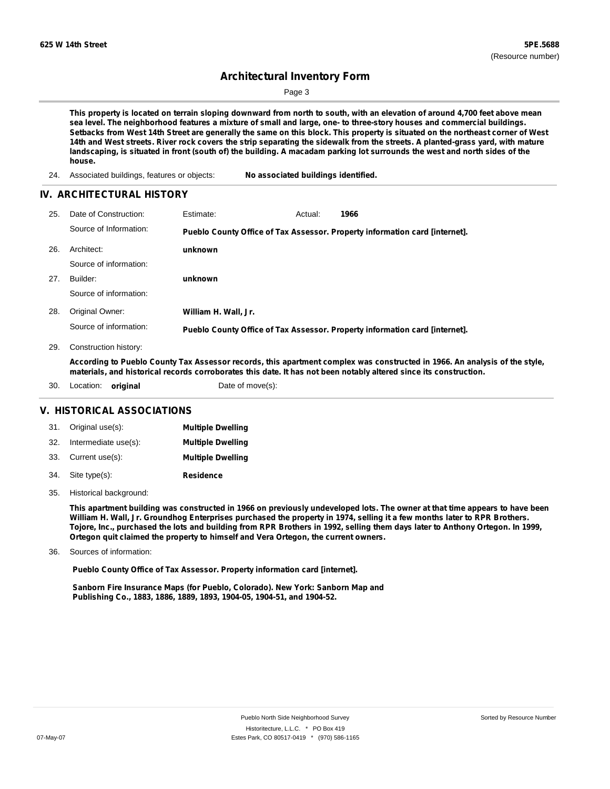Page 3

This property is located on terrain sloping downward from north to south, with an elevation of around 4,700 feet above mean sea level. The neighborhood features a mixture of small and large, one- to three-story houses and commercial buildings. Setbacks from West 14th Street are generally the same on this block. This property is situated on the northeast corner of West 14th and West streets. River rock covers the strip separating the sidewalk from the streets. A planted-grass yard, with mature landscaping, is situated in front (south of) the building. A macadam parking lot surrounds the west and north sides of the **house.**

24. Associated buildings, features or objects: **No associated buildings identified.**

### **IV. ARCHITECTURAL HISTORY**

| 25. | Date of Construction:  | <b>Estimate:</b>     | Actual: | 1966                                                                        |
|-----|------------------------|----------------------|---------|-----------------------------------------------------------------------------|
|     | Source of Information: |                      |         | Pueblo County Office of Tax Assessor. Property information card [internet]. |
| 26. | Architect:             | unknown              |         |                                                                             |
|     | Source of information: |                      |         |                                                                             |
| 27. | Builder:               | unknown              |         |                                                                             |
|     | Source of information: |                      |         |                                                                             |
| 28. | Original Owner:        | William H. Wall, Jr. |         |                                                                             |
|     | Source of information: |                      |         | Pueblo County Office of Tax Assessor. Property information card [internet]. |

29. Construction history:

According to Pueblo County Tax Assessor records, this apartment complex was constructed in 1966. An analysis of the style, materials, and historical records corroborates this date. It has not been notably altered since its construction.

30. Location: **original** Date of move(s):

#### **V. HISTORICAL ASSOCIATIONS**

|     | 31. Original use(s): | <b>Multiple Dwelling</b> |
|-----|----------------------|--------------------------|
| 32. | Intermediate use(s): | <b>Multiple Dwelling</b> |
|     | 33. Current use(s):  | <b>Multiple Dwelling</b> |
| 34. | Site type(s):        | <b>Residence</b>         |

35. Historical background:

This apartment building was constructed in 1966 on previously undeveloped lots. The owner at that time appears to have been William H. Wall, Jr. Groundhog Enterprises purchased the property in 1974, selling it a few months later to RPR Brothers. Tojore, Inc., purchased the lots and building from RPR Brothers in 1992, selling them days later to Anthony Ortegon. In 1999, **Ortegon quit claimed the property to himself and Vera Ortegon, the current owners.**

Sources of information: 36.

**Pueblo County Office of Tax Assessor. Property information card [internet].**

**Sanborn Fire Insurance Maps (for Pueblo, Colorado). New York: Sanborn Map and Publishing Co., 1883, 1886, 1889, 1893, 1904-05, 1904-51, and 1904-52.**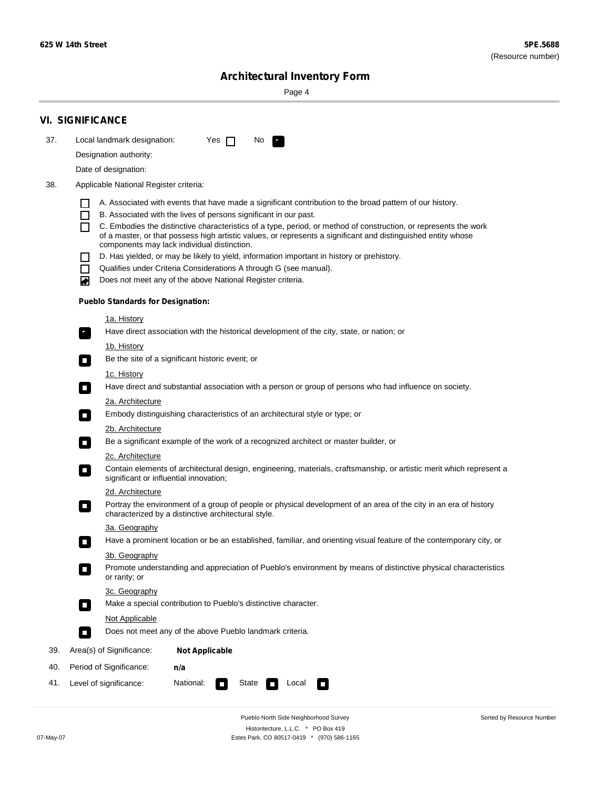Sorted by Resource Number

# **Architectural Inventory Form**

Page 4

|     | <b>VI. SIGNIFICANCE</b>                                                                                                                |                                                                                                                                                                                                                                                                                                  |  |  |  |  |  |  |  |
|-----|----------------------------------------------------------------------------------------------------------------------------------------|--------------------------------------------------------------------------------------------------------------------------------------------------------------------------------------------------------------------------------------------------------------------------------------------------|--|--|--|--|--|--|--|
| 37. | Local landmark designation:                                                                                                            | Yes $\Box$<br>No.<br>LE.                                                                                                                                                                                                                                                                         |  |  |  |  |  |  |  |
|     | Designation authority:                                                                                                                 |                                                                                                                                                                                                                                                                                                  |  |  |  |  |  |  |  |
|     | Date of designation:                                                                                                                   |                                                                                                                                                                                                                                                                                                  |  |  |  |  |  |  |  |
| 38. | Applicable National Register criteria:                                                                                                 |                                                                                                                                                                                                                                                                                                  |  |  |  |  |  |  |  |
|     | $\mathbf{I}$<br>П                                                                                                                      | A. Associated with events that have made a significant contribution to the broad pattern of our history.<br>B. Associated with the lives of persons significant in our past.<br>C. Embodies the distinctive characteristics of a type, period, or method of construction, or represents the work |  |  |  |  |  |  |  |
|     |                                                                                                                                        | of a master, or that possess high artistic values, or represents a significant and distinguished entity whose<br>components may lack individual distinction.                                                                                                                                     |  |  |  |  |  |  |  |
|     |                                                                                                                                        | D. Has yielded, or may be likely to yield, information important in history or prehistory.                                                                                                                                                                                                       |  |  |  |  |  |  |  |
|     | $\blacksquare$                                                                                                                         | Qualifies under Criteria Considerations A through G (see manual).                                                                                                                                                                                                                                |  |  |  |  |  |  |  |
|     | ▰                                                                                                                                      | Does not meet any of the above National Register criteria.                                                                                                                                                                                                                                       |  |  |  |  |  |  |  |
|     | <b>Pueblo Standards for Designation:</b>                                                                                               |                                                                                                                                                                                                                                                                                                  |  |  |  |  |  |  |  |
|     | 1a. History                                                                                                                            |                                                                                                                                                                                                                                                                                                  |  |  |  |  |  |  |  |
|     | $\mathbf{r}_1$                                                                                                                         | Have direct association with the historical development of the city, state, or nation; or                                                                                                                                                                                                        |  |  |  |  |  |  |  |
|     | <u>1b. History</u><br>$\mathcal{L}_{\mathcal{A}}$                                                                                      | Be the site of a significant historic event; or                                                                                                                                                                                                                                                  |  |  |  |  |  |  |  |
|     | 1c. History                                                                                                                            |                                                                                                                                                                                                                                                                                                  |  |  |  |  |  |  |  |
|     | Have direct and substantial association with a person or group of persons who had influence on society.<br>$\mathcal{L}_{\mathcal{A}}$ |                                                                                                                                                                                                                                                                                                  |  |  |  |  |  |  |  |
|     | 2a. Architecture                                                                                                                       |                                                                                                                                                                                                                                                                                                  |  |  |  |  |  |  |  |
|     | $\Box$                                                                                                                                 | Embody distinguishing characteristics of an architectural style or type; or                                                                                                                                                                                                                      |  |  |  |  |  |  |  |
|     | 2b. Architecture                                                                                                                       |                                                                                                                                                                                                                                                                                                  |  |  |  |  |  |  |  |
|     | п                                                                                                                                      | Be a significant example of the work of a recognized architect or master builder, or                                                                                                                                                                                                             |  |  |  |  |  |  |  |
|     | 2c. Architecture                                                                                                                       |                                                                                                                                                                                                                                                                                                  |  |  |  |  |  |  |  |
|     | о                                                                                                                                      | Contain elements of architectural design, engineering, materials, craftsmanship, or artistic merit which represent a<br>significant or influential innovation;                                                                                                                                   |  |  |  |  |  |  |  |
|     | 2d. Architecture                                                                                                                       |                                                                                                                                                                                                                                                                                                  |  |  |  |  |  |  |  |
|     | о                                                                                                                                      | Portray the environment of a group of people or physical development of an area of the city in an era of history<br>characterized by a distinctive architectural style.                                                                                                                          |  |  |  |  |  |  |  |
|     | 3a. Geography                                                                                                                          |                                                                                                                                                                                                                                                                                                  |  |  |  |  |  |  |  |
|     |                                                                                                                                        | Have a prominent location or be an established, familiar, and orienting visual feature of the contemporary city, or                                                                                                                                                                              |  |  |  |  |  |  |  |
|     | 3b. Geography                                                                                                                          |                                                                                                                                                                                                                                                                                                  |  |  |  |  |  |  |  |
|     | or rarity; or                                                                                                                          | Promote understanding and appreciation of Pueblo's environment by means of distinctive physical characteristics                                                                                                                                                                                  |  |  |  |  |  |  |  |
|     | 3c. Geography<br>$\mathcal{L}_{\mathcal{A}}$                                                                                           | Make a special contribution to Pueblo's distinctive character.                                                                                                                                                                                                                                   |  |  |  |  |  |  |  |
|     | Not Applicable                                                                                                                         |                                                                                                                                                                                                                                                                                                  |  |  |  |  |  |  |  |
|     | $\Box$                                                                                                                                 | Does not meet any of the above Pueblo landmark criteria.                                                                                                                                                                                                                                         |  |  |  |  |  |  |  |
| 39. | Area(s) of Significance:                                                                                                               | <b>Not Applicable</b>                                                                                                                                                                                                                                                                            |  |  |  |  |  |  |  |
| 40. | Period of Significance:                                                                                                                | n/a                                                                                                                                                                                                                                                                                              |  |  |  |  |  |  |  |
| 41. | National:<br>State<br>Level of significance:<br>Local<br>$\Box$<br>$\overline{\phantom{a}}$<br>П                                       |                                                                                                                                                                                                                                                                                                  |  |  |  |  |  |  |  |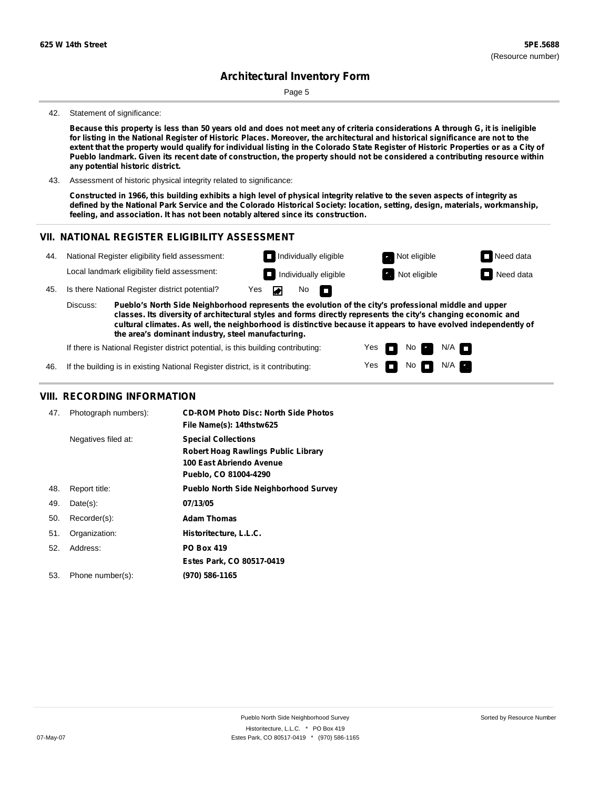Page 5

#### 42. Statement of significance:

Because this property is less than 50 years old and does not meet any of criteria considerations A through G, it is ineligible for listing in the National Register of Historic Places. Moreover, the architectural and historical significance are not to the extent that the property would qualify for individual listing in the Colorado State Register of Historic Properties or as a City of Pueblo landmark. Given its recent date of construction, the property should not be considered a contributing resource within **any potential historic district.**

43. Assessment of historic physical integrity related to significance:

Constructed in 1966, this building exhibits a high level of physical integrity relative to the seven aspects of integrity as defined by the National Park Service and the Colorado Historical Society: location, setting, design, materials, workmanship, **feeling, and association. It has not been notably altered since its construction.**

### **VII. NATIONAL REGISTER ELIGIBILITY ASSESSMENT**

| 44.                                                                                                                                                                                                                                                                                                                                                   |                                                | National Register eligibility field assessment: |                              | $\Box$ Individually eligible |              | Not eligible | Need data |
|-------------------------------------------------------------------------------------------------------------------------------------------------------------------------------------------------------------------------------------------------------------------------------------------------------------------------------------------------------|------------------------------------------------|-------------------------------------------------|------------------------------|------------------------------|--------------|--------------|-----------|
|                                                                                                                                                                                                                                                                                                                                                       | Local landmark eligibility field assessment:   |                                                 | $\Box$ Individually eligible |                              | Not eligible | Need data    |           |
| 45.                                                                                                                                                                                                                                                                                                                                                   | Is there National Register district potential? |                                                 | No $\blacksquare$<br>Yes     |                              |              |              |           |
| Discuss:<br>Pueblo's North Side Neighborhood represents the evolution of the city's professional middle and upper<br>classes. Its diversity of architectural styles and forms directly represents the city's changing economic and<br>cultural climates. As well, the neighborhood is distinctive because it appears to have evolved independently of |                                                |                                                 |                              |                              |              |              |           |

Yes Yes ш Ē No

 $No$   $N/A$ 

N/A

**the area's dominant industry, steel manufacturing.**

If there is National Register district potential, is this building contributing:

46. If the building is in existing National Register district, is it contributing:

### **VIII. RECORDING INFORMATION**

| 47. | Photograph numbers): | <b>CD-ROM Photo Disc: North Side Photos</b><br>File Name(s): 14thstw625                                                |
|-----|----------------------|------------------------------------------------------------------------------------------------------------------------|
|     | Negatives filed at:  | <b>Special Collections</b><br>Robert Hoag Rawlings Public Library<br>100 East Abriendo Avenue<br>Pueblo, CO 81004-4290 |
| 48. | Report title:        | <b>Pueblo North Side Neighborhood Survey</b>                                                                           |
| 49. | $Date(s)$ :          | 07/13/05                                                                                                               |
| 50. | Recorder(s):         | <b>Adam Thomas</b>                                                                                                     |
| 51. | Organization:        | Historitecture, L.L.C.                                                                                                 |
| 52. | Address:             | <b>PO Box 419</b>                                                                                                      |
|     |                      | Estes Park, CO 80517-0419                                                                                              |
| 53. | Phone number(s):     | (970) 586-1165                                                                                                         |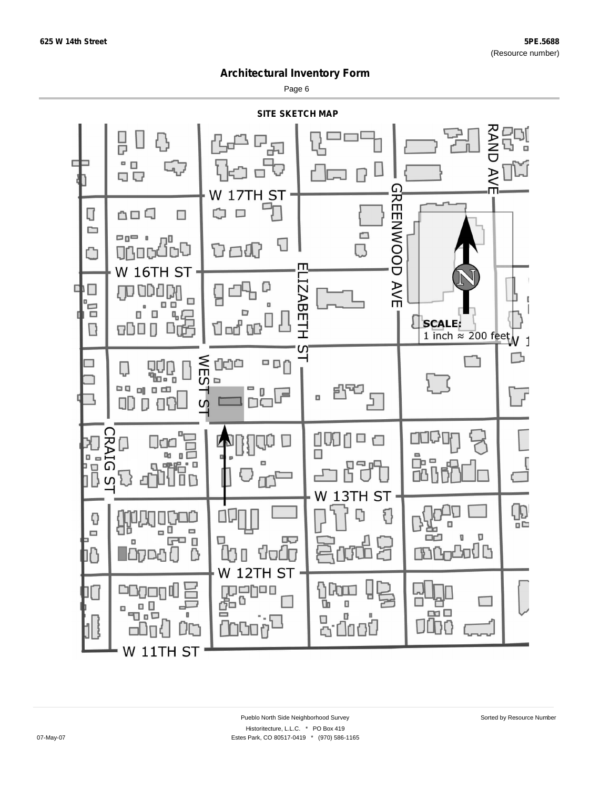Page 6